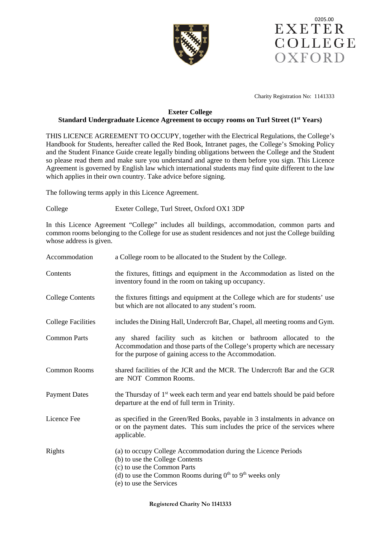



Charity Registration No: 1141333

# **Exeter College Standard Undergraduate Licence Agreement to occupy rooms on Turl Street (1st Years)**

THIS LICENCE AGREEMENT TO OCCUPY, together with the Electrical Regulations, the College's Handbook for Students, hereafter called the Red Book, Intranet pages, the College's Smoking Policy and the Student Finance Guide create legally binding obligations between the College and the Student so please read them and make sure you understand and agree to them before you sign. This Licence Agreement is governed by English law which international students may find quite different to the law which applies in their own country. Take advice before signing.

The following terms apply in this Licence Agreement.

# College Exeter College, Turl Street, Oxford OX1 3DP

In this Licence Agreement "College" includes all buildings, accommodation, common parts and common rooms belonging to the College for use as student residences and not just the College building whose address is given.

| Accommodation             | a College room to be allocated to the Student by the College.                                                                                                                                                               |
|---------------------------|-----------------------------------------------------------------------------------------------------------------------------------------------------------------------------------------------------------------------------|
| Contents                  | the fixtures, fittings and equipment in the Accommodation as listed on the<br>inventory found in the room on taking up occupancy.                                                                                           |
| <b>College Contents</b>   | the fixtures fittings and equipment at the College which are for students' use<br>but which are not allocated to any student's room.                                                                                        |
| <b>College Facilities</b> | includes the Dining Hall, Undercroft Bar, Chapel, all meeting rooms and Gym.                                                                                                                                                |
| <b>Common Parts</b>       | any shared facility such as kitchen or bathroom allocated to the<br>Accommodation and those parts of the College's property which are necessary<br>for the purpose of gaining access to the Accommodation.                  |
| <b>Common Rooms</b>       | shared facilities of the JCR and the MCR. The Undercroft Bar and the GCR<br>are NOT Common Rooms.                                                                                                                           |
| <b>Payment Dates</b>      | the Thursday of 1 <sup>st</sup> week each term and year end battels should be paid before<br>departure at the end of full term in Trinity.                                                                                  |
| Licence Fee               | as specified in the Green/Red Books, payable in 3 instalments in advance on<br>or on the payment dates. This sum includes the price of the services where<br>applicable.                                                    |
| Rights                    | (a) to occupy College Accommodation during the Licence Periods<br>(b) to use the College Contents<br>(c) to use the Common Parts<br>(d) to use the Common Rooms during $0th$ to $9th$ weeks only<br>(e) to use the Services |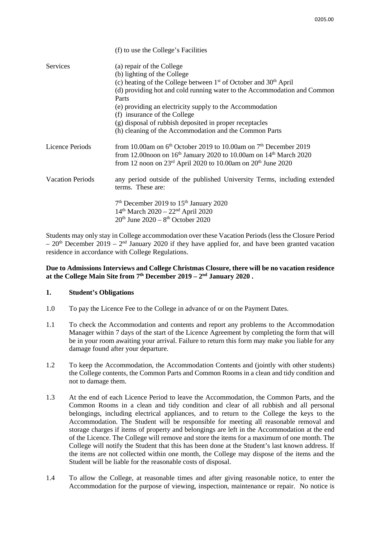|                         | (f) to use the College's Facilities                                                                                                                                                                                                                                                                                                                                                                                                    |
|-------------------------|----------------------------------------------------------------------------------------------------------------------------------------------------------------------------------------------------------------------------------------------------------------------------------------------------------------------------------------------------------------------------------------------------------------------------------------|
| Services                | (a) repair of the College<br>(b) lighting of the College<br>(c) heating of the College between $1st$ of October and $30th$ April<br>(d) providing hot and cold running water to the Accommodation and Common<br>Parts<br>(e) providing an electricity supply to the Accommodation<br>(f) insurance of the College<br>(g) disposal of rubbish deposited in proper receptacles<br>(h) cleaning of the Accommodation and the Common Parts |
| Licence Periods         | from 10.00am on $6th$ October 2019 to 10.00am on $7th$ December 2019<br>from 12.00 noon on 16 <sup>th</sup> January 2020 to 10.00 am on 14 <sup>th</sup> March 2020<br>from 12 noon on $23^{\text{rd}}$ April 2020 to 10.00am on $20^{\text{th}}$ June 2020                                                                                                                                                                            |
| <b>Vacation Periods</b> | any period outside of the published University Terms, including extended<br>terms. These are:                                                                                                                                                                                                                                                                                                                                          |
|                         | 7 <sup>th</sup> December 2019 to 15 <sup>th</sup> January 2020<br>$14th$ March 2020 – 22 <sup>nd</sup> April 2020<br>$20th$ June $2020 - 8th$ October 2020                                                                                                                                                                                                                                                                             |

Students may only stay in College accommodation over these Vacation Periods (less the Closure Period  $-20<sup>th</sup>$  December 2019 –  $2<sup>nd</sup>$  January 2020 if they have applied for, and have been granted vacation residence in accordance with College Regulations.

# **Due to Admissions Interviews and College Christmas Closure, there will be no vacation residence at the College Main Site from 7th December 2019 – 2nd January 2020 .**

## **1. Student's Obligations**

- 1.0 To pay the Licence Fee to the College in advance of or on the Payment Dates.
- 1.1 To check the Accommodation and contents and report any problems to the Accommodation Manager within 7 days of the start of the Licence Agreement by completing the form that will be in your room awaiting your arrival. Failure to return this form may make you liable for any damage found after your departure.
- 1.2 To keep the Accommodation, the Accommodation Contents and (jointly with other students) the College contents, the Common Parts and Common Rooms in a clean and tidy condition and not to damage them.
- 1.3 At the end of each Licence Period to leave the Accommodation, the Common Parts, and the Common Rooms in a clean and tidy condition and clear of all rubbish and all personal belongings, including electrical appliances, and to return to the College the keys to the Accommodation. The Student will be responsible for meeting all reasonable removal and storage charges if items of property and belongings are left in the Accommodation at the end of the Licence. The College will remove and store the items for a maximum of one month. The College will notify the Student that this has been done at the Student's last known address. If the items are not collected within one month, the College may dispose of the items and the Student will be liable for the reasonable costs of disposal.
- 1.4 To allow the College, at reasonable times and after giving reasonable notice, to enter the Accommodation for the purpose of viewing, inspection, maintenance or repair. No notice is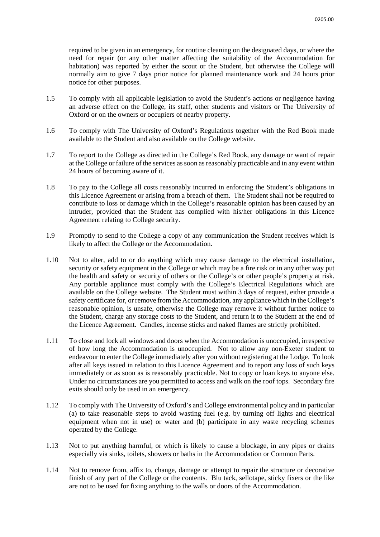required to be given in an emergency, for routine cleaning on the designated days, or where the need for repair (or any other matter affecting the suitability of the Accommodation for habitation) was reported by either the scout or the Student, but otherwise the College will normally aim to give 7 days prior notice for planned maintenance work and 24 hours prior notice for other purposes.

- 1.5 To comply with all applicable legislation to avoid the Student's actions or negligence having an adverse effect on the College, its staff, other students and visitors or The University of Oxford or on the owners or occupiers of nearby property.
- 1.6 To comply with The University of Oxford's Regulations together with the Red Book made available to the Student and also available on the College website.
- 1.7 To report to the College as directed in the College's Red Book, any damage or want of repair at the College or failure of the services as soon as reasonably practicable and in any event within 24 hours of becoming aware of it.
- 1.8 To pay to the College all costs reasonably incurred in enforcing the Student's obligations in this Licence Agreement or arising from a breach of them. The Student shall not be required to contribute to loss or damage which in the College's reasonable opinion has been caused by an intruder, provided that the Student has complied with his/her obligations in this Licence Agreement relating to College security.
- 1.9 Promptly to send to the College a copy of any communication the Student receives which is likely to affect the College or the Accommodation.
- 1.10 Not to alter, add to or do anything which may cause damage to the electrical installation, security or safety equipment in the College or which may be a fire risk or in any other way put the health and safety or security of others or the College's or other people's property at risk. Any portable appliance must comply with the College's Electrical Regulations which are available on the College website. The Student must within 3 days of request, either provide a safety certificate for, or remove from the Accommodation, any appliance which in the College's reasonable opinion, is unsafe, otherwise the College may remove it without further notice to the Student, charge any storage costs to the Student, and return it to the Student at the end of the Licence Agreement. Candles, incense sticks and naked flames are strictly prohibited.
- 1.11 To close and lock all windows and doors when the Accommodation is unoccupied, irrespective of how long the Accommodation is unoccupied. Not to allow any non-Exeter student to endeavour to enter the College immediately after you without registering at the Lodge. To look after all keys issued in relation to this Licence Agreement and to report any loss of such keys immediately or as soon as is reasonably practicable. Not to copy or loan keys to anyone else. Under no circumstances are you permitted to access and walk on the roof tops. Secondary fire exits should only be used in an emergency.
- 1.12 To comply with The University of Oxford's and College environmental policy and in particular (a) to take reasonable steps to avoid wasting fuel (e.g. by turning off lights and electrical equipment when not in use) or water and (b) participate in any waste recycling schemes operated by the College.
- 1.13 Not to put anything harmful, or which is likely to cause a blockage, in any pipes or drains especially via sinks, toilets, showers or baths in the Accommodation or Common Parts.
- 1.14 Not to remove from, affix to, change, damage or attempt to repair the structure or decorative finish of any part of the College or the contents. Blu tack, sellotape, sticky fixers or the like are not to be used for fixing anything to the walls or doors of the Accommodation.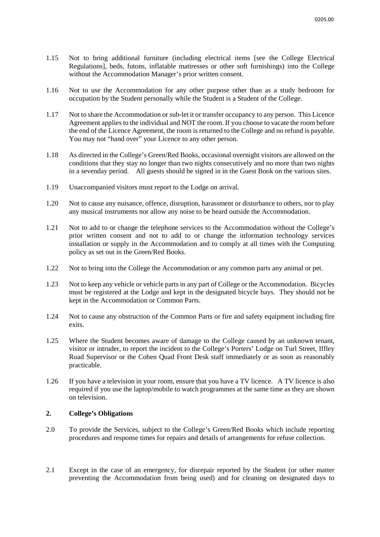- 1.15 Not to bring additional furniture (including electrical items [see the College Electrical Regulations], beds, futons, inflatable mattresses or other soft furnishings) into the College without the Accommodation Manager's prior written consent.
- 1.16 Not to use the Accommodation for any other purpose other than as a study bedroom for occupation by the Student personally while the Student is a Student of the College.
- 1.17 Not to share the Accommodation or sub-let it or transfer occupancy to any person. This Licence Agreement applies to the individual and NOT the room. If you choose to vacate the room before the end of the Licence Agreement, the room is returned to the College and no refund is payable. You may not "hand over" your Licence to any other person.
- 1.18 As directed in the College's Green/Red Books, occasional overnight visitors are allowed on the conditions that they stay no longer than two nights consecutively and no more than two nights in a sevenday period. All guests should be signed in in the Guest Book on the various sites.
- 1.19 Unaccompanied visitors must report to the Lodge on arrival.
- 1.20 Not to cause any nuisance, offence, disruption, harassment or disturbance to others, nor to play any musical instruments nor allow any noise to be heard outside the Accommodation.
- 1.21 Not to add to or change the telephone services to the Accommodation without the College's prior written consent and not to add to or change the information technology services installation or supply in the Accommodation and to comply at all times with the Computing policy as set out in the Green/Red Books.
- 1.22 Not to bring into the College the Accommodation or any common parts any animal or pet.
- 1.23 Not to keep any vehicle or vehicle parts in any part of College or the Accommodation. Bicycles must be registered at the Lodge and kept in the designated bicycle bays. They should not be kept in the Accommodation or Common Parts.
- 1.24 Not to cause any obstruction of the Common Parts or fire and safety equipment including fire exits.
- 1.25 Where the Student becomes aware of damage to the College caused by an unknown tenant, visitor or intruder, to report the incident to the College's Porters' Lodge on Turl Street, Iffley Road Supervisor or the Cohen Quad Front Desk staff immediately or as soon as reasonably practicable.
- 1.26 If you have a television in your room, ensure that you have a TV licence. A TV licence is also required if you use the laptop/mobile to watch programmes at the same time as they are shown on television.

#### **2. College's Obligations**

- 2.0 To provide the Services, subject to the College's Green/Red Books which include reporting procedures and response times for repairs and details of arrangements for refuse collection.
- 2.1 Except in the case of an emergency, for disrepair reported by the Student (or other matter preventing the Accommodation from being used) and for cleaning on designated days to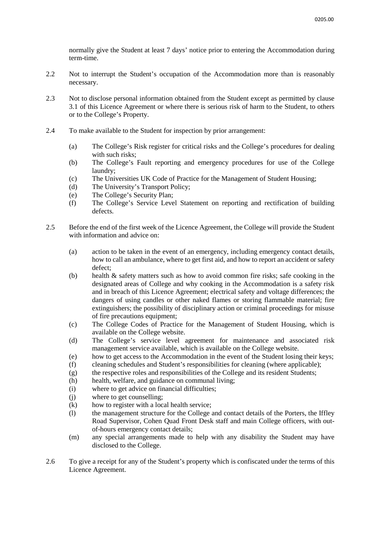normally give the Student at least 7 days' notice prior to entering the Accommodation during term-time.

- 2.2 Not to interrupt the Student's occupation of the Accommodation more than is reasonably necessary.
- 2.3 Not to disclose personal information obtained from the Student except as permitted by clause 3.1 of this Licence Agreement or where there is serious risk of harm to the Student, to others or to the College's Property.
- 2.4 To make available to the Student for inspection by prior arrangement:
	- (a) The College's Risk register for critical risks and the College's procedures for dealing with such risks;
	- (b) The College's Fault reporting and emergency procedures for use of the College laundry;
	- (c) The Universities UK Code of Practice for the Management of Student Housing;
	- (d) The University's Transport Policy;
	- (e) The College's Security Plan;
	- (f) The College's Service Level Statement on reporting and rectification of building defects.
- 2.5 Before the end of the first week of the Licence Agreement, the College will provide the Student with information and advice on:
	- (a) action to be taken in the event of an emergency, including emergency contact details, how to call an ambulance, where to get first aid, and how to report an accident or safety defect;
	- (b) health & safety matters such as how to avoid common fire risks; safe cooking in the designated areas of College and why cooking in the Accommodation is a safety risk and in breach of this Licence Agreement; electrical safety and voltage differences; the dangers of using candles or other naked flames or storing flammable material; fire extinguishers; the possibility of disciplinary action or criminal proceedings for misuse of fire precautions equipment;
	- (c) The College Codes of Practice for the Management of Student Housing, which is available on the College website.
	- (d) The College's service level agreement for maintenance and associated risk management service available, which is available on the College website.
	- (e) how to get access to the Accommodation in the event of the Student losing their keys;
	- (f) cleaning schedules and Student's responsibilities for cleaning (where applicable);
	- (g) the respective roles and responsibilities of the College and its resident Students;
	- (h) health, welfare, and guidance on communal living;
	- (i) where to get advice on financial difficulties;
	- (j) where to get counselling;
	- (k) how to register with a local health service;
	- (l) the management structure for the College and contact details of the Porters, the Iffley Road Supervisor, Cohen Quad Front Desk staff and main College officers, with outof-hours emergency contact details;
	- (m) any special arrangements made to help with any disability the Student may have disclosed to the College.
- 2.6 To give a receipt for any of the Student's property which is confiscated under the terms of this Licence Agreement.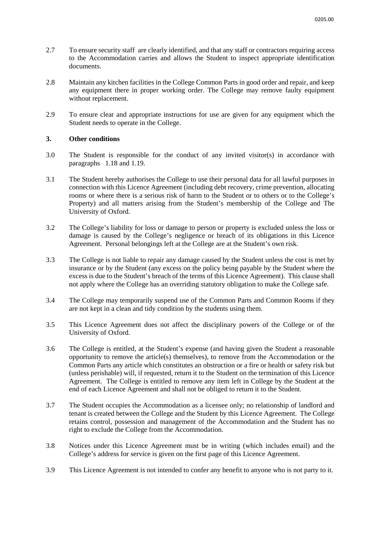- 2.7 To ensure security staff are clearly identified, and that any staff or contractors requiring access to the Accommodation carries and allows the Student to inspect appropriate identification documents.
- 2.8 Maintain any kitchen facilities in the College Common Parts in good order and repair, and keep any equipment there in proper working order. The College may remove faulty equipment without replacement.
- 2.9 To ensure clear and appropriate instructions for use are given for any equipment which the Student needs to operate in the College.

### **3. Other conditions**

- 3.0 The Student is responsible for the conduct of any invited visitor(s) in accordance with paragraphs 1.18 and 1.19.
- 3.1 The Student hereby authorises the College to use their personal data for all lawful purposes in connection with this Licence Agreement (including debt recovery, crime prevention, allocating rooms or where there is a serious risk of harm to the Student or to others or to the College's Property) and all matters arising from the Student's membership of the College and The University of Oxford.
- 3.2 The College's liability for loss or damage to person or property is excluded unless the loss or damage is caused by the College's negligence or breach of its obligations in this Licence Agreement. Personal belongings left at the College are at the Student's own risk.
- 3.3 The College is not liable to repair any damage caused by the Student unless the cost is met by insurance or by the Student (any excess on the policy being payable by the Student where the excess is due to the Student's breach of the terms of this Licence Agreement). This clause shall not apply where the College has an overriding statutory obligation to make the College safe.
- 3.4 The College may temporarily suspend use of the Common Parts and Common Rooms if they are not kept in a clean and tidy condition by the students using them.
- 3.5 This Licence Agreement does not affect the disciplinary powers of the College or of the University of Oxford.
- 3.6 The College is entitled, at the Student's expense (and having given the Student a reasonable opportunity to remove the article(s) themselves), to remove from the Accommodation or the Common Parts any article which constitutes an obstruction or a fire or health or safety risk but (unless perishable) will, if requested, return it to the Student on the termination of this Licence Agreement. The College is entitled to remove any item left in College by the Student at the end of each Licence Agreement and shall not be obliged to return it to the Student.
- 3.7 The Student occupies the Accommodation as a licensee only; no relationship of landlord and tenant is created between the College and the Student by this Licence Agreement. The College retains control, possession and management of the Accommodation and the Student has no right to exclude the College from the Accommodation.
- 3.8 Notices under this Licence Agreement must be in writing (which includes email) and the College's address for service is given on the first page of this Licence Agreement.
- 3.9 This Licence Agreement is not intended to confer any benefit to anyone who is not party to it.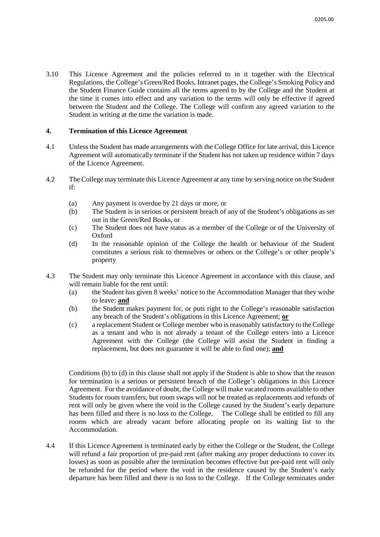3.10 This Licence Agreement and the policies referred to in it together with the Electrical Regulations, the College's Green/Red Books, Intranet pages, the College's Smoking Policy and the Student Finance Guide contains all the terms agreed to by the College and the Student at the time it comes into effect and any variation to the terms will only be effective if agreed between the Student and the College. The College will confirm any agreed variation to the Student in writing at the time the variation is made.

### **4. Termination of this Licence Agreement**

- 4.1 Unless the Student has made arrangements with the College Office for late arrival, this Licence Agreement will automatically terminate if the Student has not taken up residence within 7 days of the Licence Agreement.
- 4.2 The College may terminate this Licence Agreement at any time by serving notice on the Student if:
	- (a) Any payment is overdue by 21 days or more, or
	- (b) The Student is in serious or persistent breach of any of the Student's obligations as set out in the Green/Red Books, or
	- (c) The Student does not have status as a member of the College or of the University of Oxford
	- (d) In the reasonable opinion of the College the health or behaviour of the Student constitutes a serious risk to themselves or others or the College's or other people's property
- 4.3 The Student may only terminate this Licence Agreement in accordance with this clause, and will remain liable for the rent until:
	- (a) the Student has given 8 weeks' notice to the Accommodation Manager that they wishe to leave; **and**
	- (b) the Student makes payment for, or puts right to the College's reasonable satisfaction any breach of the Student's obligations in this Licence Agreement; **or**
	- (c) a replacement Student or College member who is reasonably satisfactory to the College as a tenant and who is not already a tenant of the College enters into a Licence Agreement with the College (the College will assist the Student in finding a replacement, but does not guarantee it will be able to find one); **and**

Conditions (b) to (d) in this clause shall not apply if the Student is able to show that the reason for termination is a serious or persistent breach of the College's obligations in this Licence Agreement. For the avoidance of doubt, the College will make vacated rooms available to other Students for room transfers, but room swaps will not be treated as replacements and refunds of rent will only be given where the void in the College caused by the Student's early departure has been filled and there is no loss to the College. The College shall be entitled to fill any rooms which are already vacant before allocating people on its waiting list to the Accommodation.

4.4 If this Licence Agreement is terminated early by either the College or the Student, the College will refund a fair proportion of pre-paid rent (after making any proper deductions to cover its losses) as soon as possible after the termination becomes effective but pre-paid rent will only be refunded for the period where the void in the residence caused by the Student's early departure has been filled and there is no loss to the College. If the College terminates under